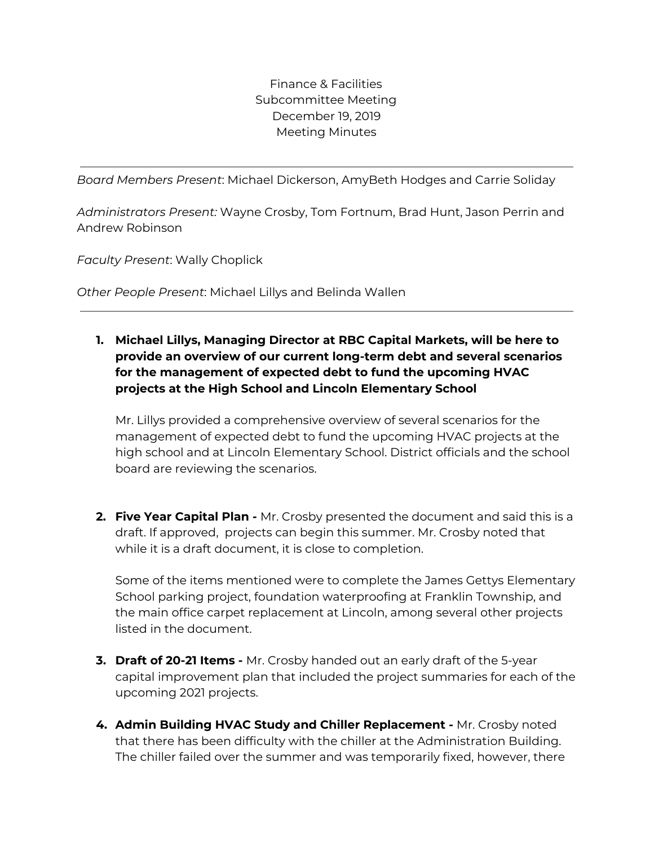Finance & Facilities Subcommittee Meeting December 19, 2019 Meeting Minutes

*Board Members Present*: Michael Dickerson, AmyBeth Hodges and Carrie Soliday

*Administrators Present:* Wayne Crosby, Tom Fortnum, Brad Hunt, Jason Perrin and Andrew Robinson

*Faculty Present*: Wally Choplick

*Other People Present*: Michael Lillys and Belinda Wallen

## **1. Michael Lillys, Managing Director at RBC Capital Markets, will be here to provide an overview of our current long-term debt and several scenarios for the management of expected debt to fund the upcoming HVAC projects at the High School and Lincoln Elementary School**

Mr. Lillys provided a comprehensive overview of several scenarios for the management of expected debt to fund the upcoming HVAC projects at the high school and at Lincoln Elementary School. District officials and the school board are reviewing the scenarios.

**2. Five Year Capital Plan -** Mr. Crosby presented the document and said this is a draft. If approved, projects can begin this summer. Mr. Crosby noted that while it is a draft document, it is close to completion.

Some of the items mentioned were to complete the James Gettys Elementary School parking project, foundation waterproofing at Franklin Township, and the main office carpet replacement at Lincoln, among several other projects listed in the document.

- **3. Draft of 20-21 Items -** Mr. Crosby handed out an early draft of the 5-year capital improvement plan that included the project summaries for each of the upcoming 2021 projects.
- **4. Admin Building HVAC Study and Chiller Replacement -** Mr. Crosby noted that there has been difficulty with the chiller at the Administration Building. The chiller failed over the summer and was temporarily fixed, however, there